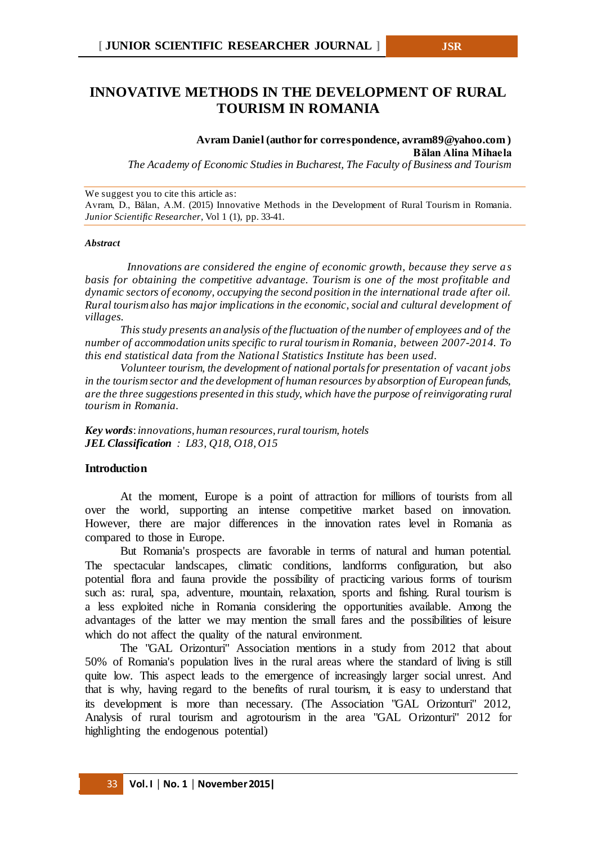# **INNOVATIVE METHODS IN THE DEVELOPMENT OF RURAL TOURISM IN ROMANIA**

**Avram Daniel (author for correspondence, avram89@yahoo.com ) Bălan Alina Mihaela**

*The Academy of Economic Studies in Bucharest, The Faculty of Business and Tourism*

We suggest you to cite this article as:

Avram, D., Bălan, A.M. (2015) Innovative Methods in the Development of Rural Tourism in Romania. *Junior Scientific Researcher*, Vol 1 (1), pp. 33-41.

#### *Abstract*

*Innovations are considered the engine of economic growth, because they serve a s basis for obtaining the competitive advantage. Tourism is one of the most profitable and dynamic sectors of economy, occupying the second position in the international trade after oil. Rural tourism also has major implications in the economic, social and cultural development of villages.*

*This study presents an analysis of the fluctuation of the number of employees and of the number of accommodation units specific to rural tourism in Romania, between 2007-2014. To this end statistical data from the National Statistics Institute has been used.*

*Volunteer tourism, the development of national portals for presentation of vacant jobs in the tourism sector and the development of human resources by absorption of European funds, are the three suggestions presented in this study, which have the purpose ofreinvigorating rural tourism in Romania.*

*Key words*: *innovations, human resources, rural tourism, hotels JEL Classification : L83, Q18, O18, O15*

# **Introduction**

At the moment, Europe is a point of attraction for millions of tourists from all over the world, supporting an intense competitive market based on innovation. However, there are major differences in the innovation rates level in Romania as compared to those in Europe.

But Romania's prospects are favorable in terms of natural and human potential. The spectacular landscapes, climatic conditions, landforms configuration, but also potential flora and fauna provide the possibility of practicing various forms of tourism such as: rural, spa, adventure, mountain, relaxation, sports and fishing. Rural tourism is a less exploited niche in Romania considering the opportunities available. Among the advantages of the latter we may mention the small fares and the possibilities of leisure which do not affect the quality of the natural environment.

The "GAL Orizonturi" Association mentions in a study from 2012 that about 50% of Romania's population lives in the rural areas where the standard of living is still quite low. This aspect leads to the emergence of increasingly larger social unrest. And that is why, having regard to the benefits of rural tourism, it is easy to understand that its development is more than necessary. (The Association "GAL Orizonturi" 2012, Analysis of rural tourism and agrotourism in the area "GAL Orizonturi" 2012 for highlighting the endogenous potential)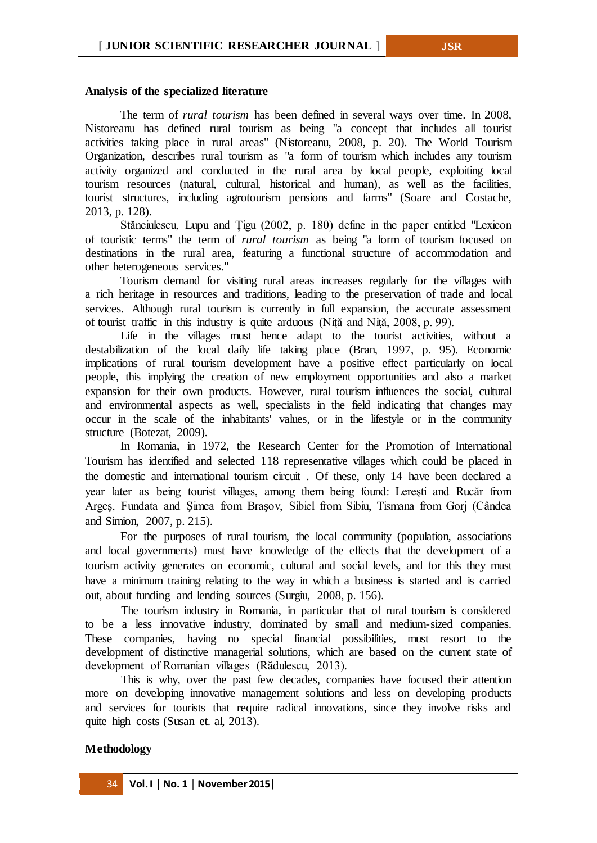#### **Analysis of the specialized literature**

The term of *rural tourism* has been defined in several ways over time. In 2008, Nistoreanu has defined rural tourism as being "a concept that includes all tourist activities taking place in rural areas" (Nistoreanu, 2008, p. 20). The World Tourism Organization, describes rural tourism as "a form of tourism which includes any tourism activity organized and conducted in the rural area by local people, exploiting local tourism resources (natural, cultural, historical and human), as well as the facilities, tourist structures, including agrotourism pensions and farms" (Soare and Costache, 2013, p. 128).

Stănciulescu, Lupu and Țigu (2002, p. 180) define in the paper entitled "Lexicon of touristic terms" the term of *rural tourism* as being "a form of tourism focused on destinations in the rural area, featuring a functional structure of accommodation and other heterogeneous services."

Tourism demand for visiting rural areas increases regularly for the villages with a rich heritage in resources and traditions, leading to the preservation of trade and local services. Although rural tourism is currently in full expansion, the accurate assessment of tourist traffic in this industry is quite arduous (Niţă and Niţă, 2008, p. 99).

Life in the villages must hence adapt to the tourist activities, without a destabilization of the local daily life taking place (Bran, 1997, p. 95). Economic implications of rural tourism development have a positive effect particularly on local people, this implying the creation of new employment opportunities and also a market expansion for their own products. However, rural tourism influences the social, cultural and environmental aspects as well, specialists in the field indicating that changes may occur in the scale of the inhabitants' values, or in the lifestyle or in the community structure (Botezat, 2009).

In Romania, in 1972, the Research Center for the Promotion of International Tourism has identified and selected 118 representative villages which could be placed in the domestic and international tourism circuit . Of these, only 14 have been declared a year later as being tourist villages, among them being found: Lereşti and Rucăr from Argeş, Fundata and Şimea from Braşov, Sibiel from Sibiu, Tismana from Gorj (Cândea and Simion, 2007, p. 215).

For the purposes of rural tourism, the local community (population, associations and local governments) must have knowledge of the effects that the development of a tourism activity generates on economic, cultural and social levels, and for this they must have a minimum training relating to the way in which a business is started and is carried out, about funding and lending sources (Surgiu, 2008, p. 156).

The tourism industry in Romania, in particular that of rural tourism is considered to be a less innovative industry, dominated by small and medium-sized companies. These companies, having no special financial possibilities, must resort to the development of distinctive managerial solutions, which are based on the current state of development of Romanian villages (Rădulescu, 2013).

This is why, over the past few decades, companies have focused their attention more on developing innovative management solutions and less on developing products and services for tourists that require radical innovations, since they involve risks and quite high costs (Susan et. al, 2013).

#### **Methodology**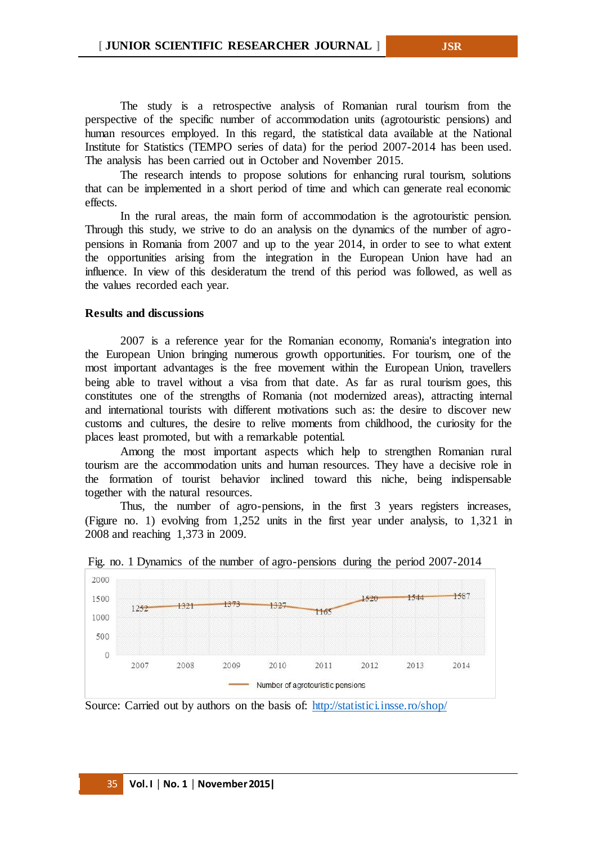The study is a retrospective analysis of Romanian rural tourism from the perspective of the specific number of accommodation units (agrotouristic pensions) and human resources employed. In this regard, the statistical data available at the National Institute for Statistics (TEMPO series of data) for the period 2007-2014 has been used. The analysis has been carried out in October and November 2015.

The research intends to propose solutions for enhancing rural tourism, solutions that can be implemented in a short period of time and which can generate real economic effects.

In the rural areas, the main form of accommodation is the agrotouristic pension. Through this study, we strive to do an analysis on the dynamics of the number of agropensions in Romania from 2007 and up to the year 2014, in order to see to what extent the opportunities arising from the integration in the European Union have had an influence. In view of this desideratum the trend of this period was followed, as well as the values recorded each year.

# **Results and discussions**

2007 is a reference year for the Romanian economy, Romania's integration into the European Union bringing numerous growth opportunities. For tourism, one of the most important advantages is the free movement within the European Union, travellers being able to travel without a visa from that date. As far as rural tourism goes, this constitutes one of the strengths of Romania (not modernized areas), attracting internal and international tourists with different motivations such as: the desire to discover new customs and cultures, the desire to relive moments from childhood, the curiosity for the places least promoted, but with a remarkable potential.

Among the most important aspects which help to strengthen Romanian rural tourism are the accommodation units and human resources. They have a decisive role in the formation of tourist behavior inclined toward this niche, being indispensable together with the natural resources.

Thus, the number of agro-pensions, in the first 3 years registers increases, (Figure no. 1) evolving from 1,252 units in the first year under analysis, to 1,321 in 2008 and reaching 1,373 in 2009.



Fig. no. 1 Dynamics of the number of agro-pensions during the period 2007-2014

Source: Carried out by authors on the basis of: <http://statistici.insse.ro/shop/>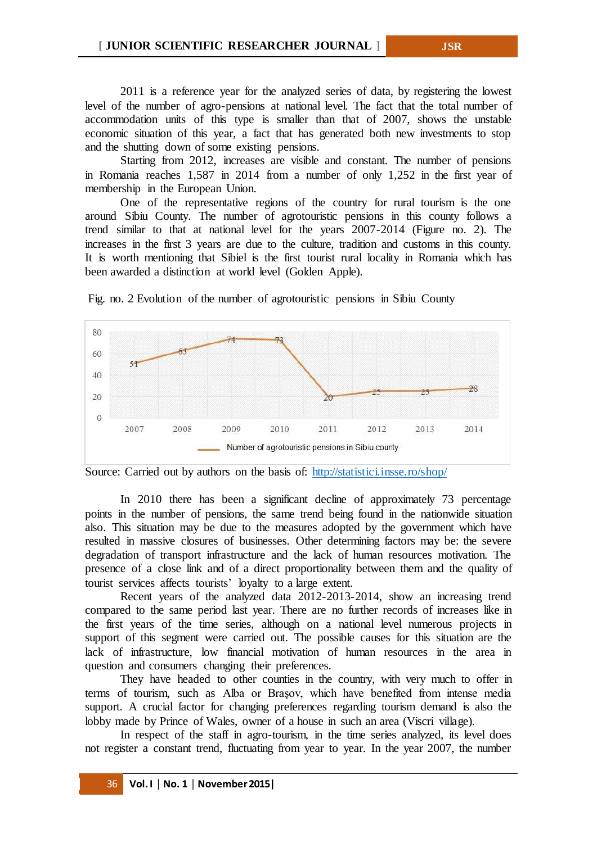2011 is a reference year for the analyzed series of data, by registering the lowest level of the number of agro-pensions at national level. The fact that the total number of accommodation units of this type is smaller than that of 2007, shows the unstable economic situation of this year, a fact that has generated both new investments to stop and the shutting down of some existing pensions.

Starting from 2012, increases are visible and constant. The number of pensions in Romania reaches 1,587 in 2014 from a number of only 1,252 in the first year of membership in the European Union.

One of the representative regions of the country for rural tourism is the one around Sibiu County. The number of agrotouristic pensions in this county follows a trend similar to that at national level for the years 2007-2014 (Figure no. 2). The increases in the first 3 years are due to the culture, tradition and customs in this county. It is worth mentioning that Sibiel is the first tourist rural locality in Romania which has been awarded a distinction at world level (Golden Apple).



Fig. no. 2 Evolution of the number of agrotouristic pensions in Sibiu County

In 2010 there has been a significant decline of approximately 73 percentage points in the number of pensions, the same trend being found in the nationwide situation also. This situation may be due to the measures adopted by the government which have resulted in massive closures of businesses. Other determining factors may be: the severe degradation of transport infrastructure and the lack of human resources motivation. The presence of a close link and of a direct proportionality between them and the quality of tourist services affects tourists' loyalty to a large extent.

Recent years of the analyzed data 2012-2013-2014, show an increasing trend compared to the same period last year. There are no further records of increases like in the first years of the time series, although on a national level numerous projects in support of this segment were carried out. The possible causes for this situation are the lack of infrastructure, low financial motivation of human resources in the area in question and consumers changing their preferences.

They have headed to other counties in the country, with very much to offer in terms of tourism, such as Alba or Braşov, which have benefited from intense media support. A crucial factor for changing preferences regarding tourism demand is also the lobby made by Prince of Wales, owner of a house in such an area (Viscri village).

In respect of the staff in agro-tourism, in the time series analyzed, its level does not register a constant trend, fluctuating from year to year. In the year 2007, the number

Source: Carried out by authors on the basis of: <http://statistici.insse.ro/shop/>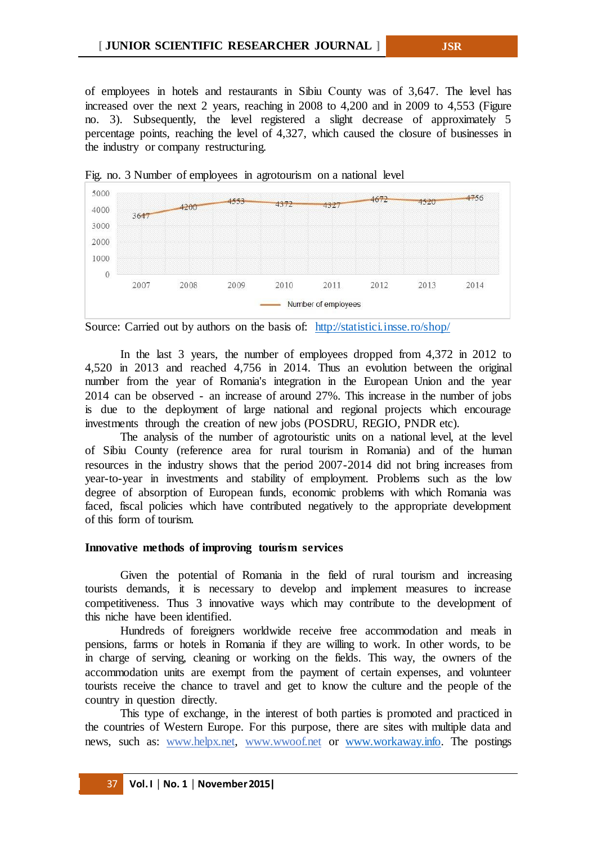of employees in hotels and restaurants in Sibiu Сounty was of 3,647. The level has increased over the next 2 years, reaching in 2008 to 4,200 and in 2009 to 4,553 (Figure no. 3). Subsequently, the level registered a slight decrease of approximately 5 percentage points, reaching the level of 4,327, which caused the closure of businesses in the industry or company restructuring.





Source: Carried out by authors on the basis of: <http://statistici.insse.ro/shop/>

In the last 3 years, the number of employees dropped from 4,372 in 2012 to 4,520 in 2013 and reached 4,756 in 2014. Thus an evolution between the original number from the year of Romania's integration in the European Union and the year 2014 can be observed - an increase of around 27%. This increase in the number of jobs is due to the deployment of large national and regional projects which encourage investments through the creation of new jobs (POSDRU, REGIO, PNDR etc).

The analysis of the number of agrotouristic units on a national level, at the level of Sibiu County (reference area for rural tourism in Romania) and of the human resources in the industry shows that the period 2007-2014 did not bring increases from year-to-year in investments and stability of employment. Problems such as the low degree of absorption of European funds, economic problems with which Romania was faced, fiscal policies which have contributed negatively to the appropriate development of this form of tourism.

# **Innovative methods of improving tourism services**

Given the potential of Romania in the field of rural tourism and increasing tourists demands, it is necessary to develop and implement measures to increase competitiveness. Thus 3 innovative ways which may contribute to the development of this niche have been identified.

Hundreds of foreigners worldwide receive free accommodation and meals in pensions, farms or hotels in Romania if they are willing to work. In other words, to be in charge of serving, cleaning or working on the fields. This way, the owners of the accommodation units are exempt from the payment of certain expenses, and volunteer tourists receive the chance to travel and get to know the culture and the people of the country in question directly.

This type of exchange, in the interest of both parties is promoted and practiced in the countries of Western Europe. For this purpose, there are sites with multiple data and news, such as: www.helpx.net, www.wwoof.net or [www.workaway.info.](http://www.workaway.info/) The postings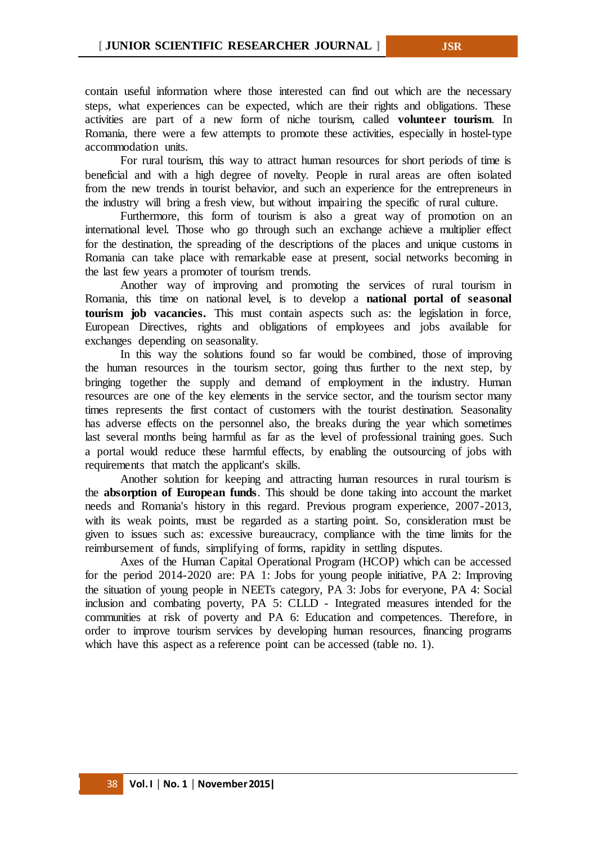contain useful information where those interested can find out which are the necessary steps, what experiences can be expected, which are their rights and obligations. These activities are part of a new form of niche tourism, called **volunteer tourism**. In Romania, there were a few attempts to promote these activities, especially in hostel-type accommodation units.

For rural tourism, this way to attract human resources for short periods of time is beneficial and with a high degree of novelty. People in rural areas are often isolated from the new trends in tourist behavior, and such an experience for the entrepreneurs in the industry will bring a fresh view, but without impairing the specific of rural culture.

Furthermore, this form of tourism is also a great way of promotion on an international level. Those who go through such an exchange achieve a multiplier effect for the destination, the spreading of the descriptions of the places and unique customs in Romania can take place with remarkable ease at present, social networks becoming in the last few years a promoter of tourism trends.

Another way of improving and promoting the services of rural tourism in Romania, this time on national level, is to develop a **national portal of seasonal tourism job vacancies.** This must contain aspects such as: the legislation in force, European Directives, rights and obligations of employees and jobs available for exchanges depending on seasonality.

In this way the solutions found so far would be combined, those of improving the human resources in the tourism sector, going thus further to the next step, by bringing together the supply and demand of employment in the industry. Human resources are one of the key elements in the service sector, and the tourism sector many times represents the first contact of customers with the tourist destination. Seasonality has adverse effects on the personnel also, the breaks during the year which sometimes last several months being harmful as far as the level of professional training goes. Such a portal would reduce these harmful effects, by enabling the outsourcing of jobs with requirements that match the applicant's skills.

Another solution for keeping and attracting human resources in rural tourism is the **absorption of European funds**. This should be done taking into account the market needs and Romania's history in this regard. Previous program experience, 2007-2013, with its weak points, must be regarded as a starting point. So, consideration must be given to issues such as: excessive bureaucracy, compliance with the time limits for the reimbursement of funds, simplifying of forms, rapidity in settling disputes.

Axes of the Human Capital Operational Program (HCOP) which can be accessed for the period 2014-2020 are: PA 1: Jobs for young people initiative, PA 2: Improving the situation of young people in NEETs category, PA 3: Jobs for everyone, PA 4: Social inclusion and combating poverty, PA 5: CLLD - Integrated measures intended for the communities at risk of poverty and PA 6: Education and competences. Therefore, in order to improve tourism services by developing human resources, financing programs which have this aspect as a reference point can be accessed (table no. 1).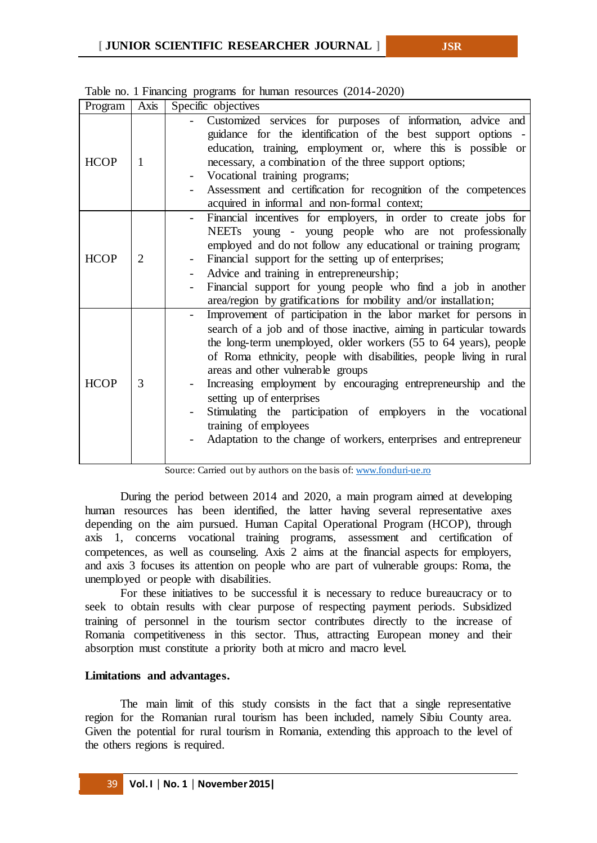| Program     | Axis           | Specific objectives                                                                                                                                                                                                                                                                                                                                                                                                                                                                                                                                                                |
|-------------|----------------|------------------------------------------------------------------------------------------------------------------------------------------------------------------------------------------------------------------------------------------------------------------------------------------------------------------------------------------------------------------------------------------------------------------------------------------------------------------------------------------------------------------------------------------------------------------------------------|
| <b>HCOP</b> | 1              | Customized services for purposes of information, advice and<br>guidance for the identification of the best support options -<br>education, training, employment or, where this is possible or<br>necessary, a combination of the three support options;<br>Vocational training programs;<br>Assessment and certification for recognition of the competences<br>acquired in informal and non-formal context;                                                                                                                                                                        |
| <b>HCOP</b> | $\overline{2}$ | Financial incentives for employers, in order to create jobs for<br>NEETs young - young people who are not professionally<br>employed and do not follow any educational or training program;<br>Financial support for the setting up of enterprises;<br>Advice and training in entrepreneurship;<br>Financial support for young people who find a job in another<br>area/region by gratifications for mobility and/or installation;                                                                                                                                                 |
| <b>HCOP</b> | 3              | Improvement of participation in the labor market for persons in<br>search of a job and of those inactive, aiming in particular towards<br>the long-term unemployed, older workers (55 to 64 years), people<br>of Roma ethnicity, people with disabilities, people living in rural<br>areas and other vulnerable groups<br>Increasing employment by encouraging entrepreneurship and the<br>setting up of enterprises<br>Stimulating the participation of employers in the vocational<br>training of employees<br>Adaptation to the change of workers, enterprises and entrepreneur |

Table no. 1 Financing programs for human resources (2014-2020)

Source: Carried out by authors on the basis of[: www.fonduri-ue.ro](http://www.fonduri-ue.ro/)

During the period between 2014 and 2020, a main program aimed at developing human resources has been identified, the latter having several representative axes depending on the aim pursued. Human Capital Operational Program (HCOP), through axis 1, concerns vocational training programs, assessment and certification of competences, as well as counseling. Axis 2 aims at the financial aspects for employers, and axis 3 focuses its attention on people who are part of vulnerable groups: Roma, the unemployed or people with disabilities.

For these initiatives to be successful it is necessary to reduce bureaucracy or to seek to obtain results with clear purpose of respecting payment periods. Subsidized training of personnel in the tourism sector contributes directly to the increase of Romania competitiveness in this sector. Thus, attracting European money and their absorption must constitute a priority both at micro and macro level.

# **Limitations and advantages.**

The main limit of this study consists in the fact that a single representative region for the Romanian rural tourism has been included, namely Sibiu County area. Given the potential for rural tourism in Romania, extending this approach to the level of the others regions is required.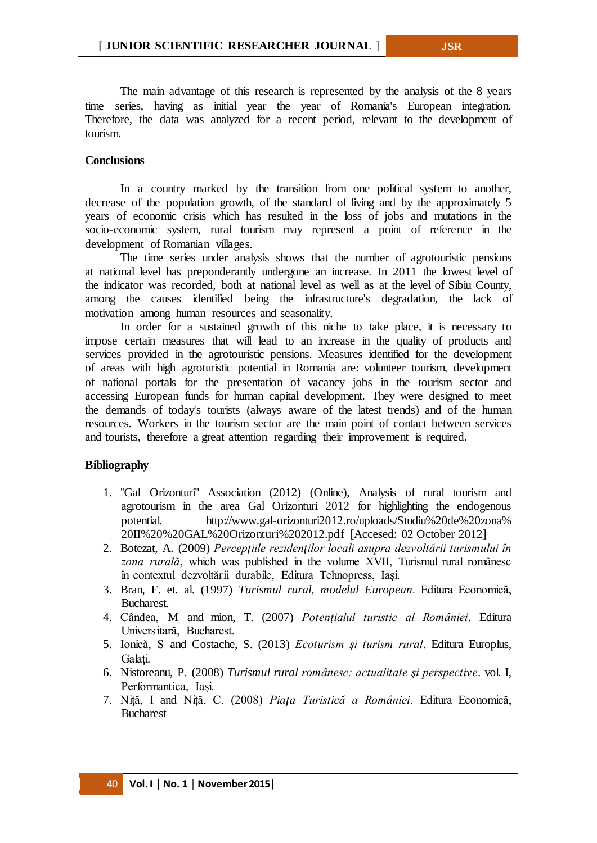The main advantage of this research is represented by the analysis of the 8 years time series, having as initial year the year of Romania's European integration. Therefore, the data was analyzed for a recent period, relevant to the development of tourism.

# **Conclusions**

In a country marked by the transition from one political system to another, decrease of the population growth, of the standard of living and by the approximately 5 years of economic crisis which has resulted in the loss of jobs and mutations in the socio-economic system, rural tourism may represent a point of reference in the development of Romanian villages.

The time series under analysis shows that the number of agrotouristic pensions at national level has preponderantly undergone an increase. In 2011 the lowest level of the indicator was recorded, both at national level as well as at the level of Sibiu County, among the causes identified being the infrastructure's degradation, the lack of motivation among human resources and seasonality.

In order for a sustained growth of this niche to take place, it is necessary to impose certain measures that will lead to an increase in the quality of products and services provided in the agrotouristic pensions. Measures identified for the development of areas with high agroturistic potential in Romania are: volunteer tourism, development of national portals for the presentation of vacancy jobs in the tourism sector and accessing European funds for human capital development. They were designed to meet the demands of today's tourists (always aware of the latest trends) and of the human resources. Workers in the tourism sector are the main point of contact between services and tourists, therefore a great attention regarding their improvement is required.

# **Bibliography**

- 1. "Gal Orizonturi" Association (2012) (Online), Analysis of rural tourism and agrotourism in the area Gal Orizonturi 2012 for highlighting the endogenous potential. http://www.gal-orizonturi2012.ro/uploads/Studiu%20de%20zona% 20II%20%20GAL%20Orizonturi%202012.pdf [Accesed: 02 October 2012]
- 2. Botezat, A. (2009) *Percepţiile rezidenţilor locali asupra dezvoltării turismului în zona rurală*, which was published in the volume XVII, Turismul rural românesc în contextul dezvoltării durabile, Editura Tehnopress, Iaşi.
- 3. Bran, F. et. al. (1997) *Turismul rural, modelul European*. Editura Economică, Bucharest.
- 4. Cândea, M and mion, T. (2007) *Potenţialul turistic al României*. Editura Universitară, Bucharest.
- 5. Ionică, S and Costache, S. (2013) *Ecoturism şi turism rural*. Editura Europlus, Galati.
- 6. Nistoreanu, P. (2008) *Turismul rural românesc: actualitate şi perspective*. vol. I, Performantica, Iaşi.
- 7. Niţă, I and Niţă, C. (2008) *Piaţa Turistică a României*. Editura Economică, Bucharest